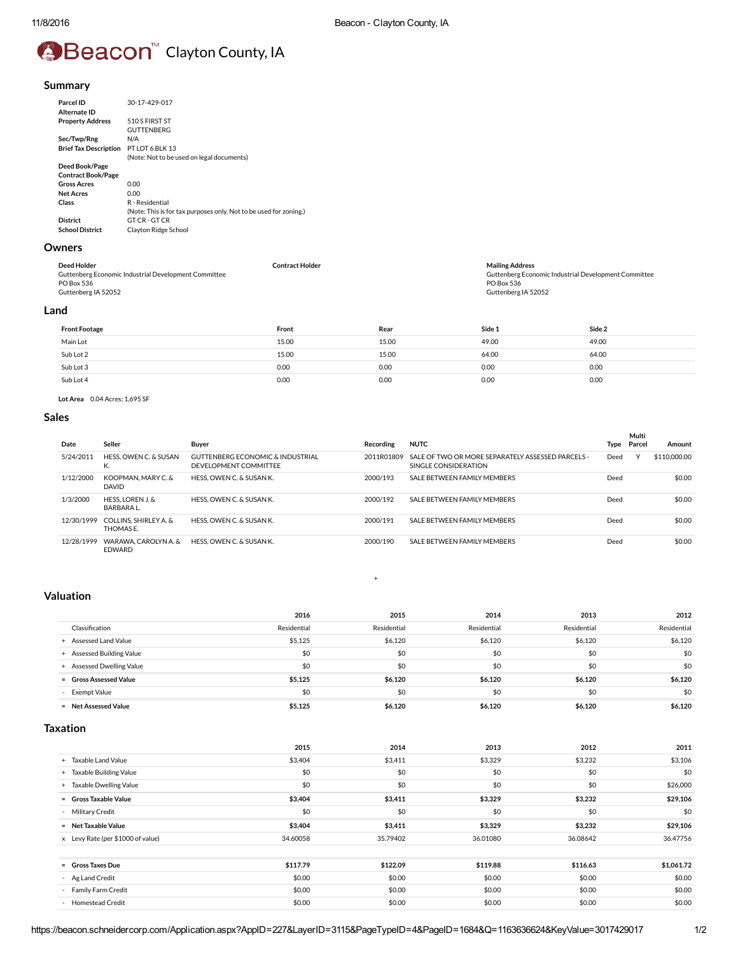# **⊕Beacon** Clayton County, IA

# Summary

| 30-17-429-017                                                     |
|-------------------------------------------------------------------|
| 510 S FIRST ST                                                    |
| <b>GUTTENBERG</b>                                                 |
| N/A                                                               |
| PT LOT 6 BLK 13                                                   |
| (Note: Not to be used on legal documents)                         |
|                                                                   |
|                                                                   |
| 0.00                                                              |
| 0.00                                                              |
| R - Residential                                                   |
| (Note: This is for tax purposes only. Not to be used for zoning.) |
| GT CR - GT CR                                                     |
| Clayton Ridge School                                              |
|                                                                   |

# Owners

| Deed Holder                                          | Contract Holder | <b>Mailing Address</b>                               |
|------------------------------------------------------|-----------------|------------------------------------------------------|
| Guttenberg Economic Industrial Development Committee |                 | Guttenberg Economic Industrial Development Committee |
| PO Box 536                                           |                 | PO Box 536                                           |
| Guttenberg IA 52052                                  |                 | Guttenberg IA 52052                                  |
|                                                      |                 |                                                      |

# Land

| <b>Front Footage</b> | Front | Rear  | Side 1 | Side 2 |
|----------------------|-------|-------|--------|--------|
| Main Lot             | 15.00 | 15.00 | 49.00  | 49.00  |
| Sub Lot 2            | 15.00 | 15.00 | 64.00  | 64.00  |
| Sub Lot 3            | 0.00  | 0.00  | 0.00   | 0.00   |
| Sub Lot 4            | 0.00  | 0.00  | 0.00   | 0.00   |

Lot Area 0.04 Acres; 1,695 SF

# Sales

| Date       | Seller                                | <b>Buver</b>                                                         | Recording  | <b>NUTC</b>                                                               | Type | Multi<br>Parcel | Amount       |
|------------|---------------------------------------|----------------------------------------------------------------------|------------|---------------------------------------------------------------------------|------|-----------------|--------------|
|            |                                       |                                                                      |            |                                                                           |      |                 |              |
| 5/24/2011  | HESS, OWEN C. & SUSAN<br>N.           | <b>GUTTENBERG ECONOMIC &amp; INDUSTRIAL</b><br>DEVELOPMENT COMMITTEE | 2011R01809 | SALE OF TWO OR MORE SEPARATELY ASSESSED PARCELS -<br>SINGLE CONSIDERATION | Deed | $\checkmark$    | \$110,000,00 |
| 1/12/2000  | KOOPMAN, MARY C. &<br><b>DAVID</b>    | HESS, OWEN C. & SUSAN K.                                             | 2000/193   | SALE BETWEEN FAMILY MEMBERS                                               | Deed |                 | \$0.00       |
| 1/3/2000   | HESS. LOREN J. &<br>BARBARA L.        | HESS, OWEN C. & SUSAN K.                                             | 2000/192   | SALF BETWEEN FAMILY MEMBERS                                               | Deed |                 | \$0.00       |
| 12/30/1999 | COLLINS. SHIRLEY A. &<br>THOMAS F.    | HESS, OWEN C. & SUSAN K.                                             | 2000/191   | SALE BETWEEN FAMILY MEMBERS                                               | Deed |                 | \$0.00       |
| 12/28/1999 | WARAWA, CAROLYN A. &<br><b>FDWARD</b> | HESS, OWEN C. & SUSAN K.                                             | 2000/190   | SALF BETWEEN FAMILY MEMBERS                                               | Deed |                 | \$0.00       |

# Valuation

|                           | 2016        | 2015        | 2014        | 2013        | 2012        |
|---------------------------|-------------|-------------|-------------|-------------|-------------|
| Classification            | Residential | Residential | Residential | Residential | Residential |
| + Assessed Land Value     | \$5,125     | \$6.120     | \$6,120     | \$6,120     | \$6,120     |
| + Assessed Building Value | \$0         | \$0         | \$0         | \$0         | \$0         |
| + Assessed Dwelling Value | \$0         | \$0         | \$0         | \$0         | \$0         |
| = Gross Assessed Value    | \$5.125     | \$6.120     | \$6.120     | \$6,120     | \$6.120     |
| - Exempt Value            | \$0         | \$0         | \$0         | \$0         | \$0         |
| - Net Assessed Value      | \$5.125     | \$6.120     | \$6.120     | \$6.120     | \$6.120     |

[+](javascript:ExpandCollapse()

# Taxation

|                                   | 2015     | 2014     | 2013     | 2012     | 2011       |
|-----------------------------------|----------|----------|----------|----------|------------|
| + Taxable Land Value              | \$3,404  | \$3,411  | \$3,329  | \$3,232  | \$3,106    |
| + Taxable Building Value          | \$0      | \$0      | \$0      | \$0      | \$0        |
| + Taxable Dwelling Value          | \$0      | \$0      | \$0      | \$0      | \$26,000   |
| = Gross Taxable Value             | \$3,404  | \$3,411  | \$3,329  | \$3,232  | \$29,106   |
| - Military Credit                 | \$0      | \$0      | \$0      | \$0      | \$0        |
| - Net Taxable Value               | \$3,404  | \$3,411  | \$3,329  | \$3,232  | \$29,106   |
| x Levy Rate (per \$1000 of value) | 34,60058 | 35.79402 | 36.01080 | 36.08642 | 36.47756   |
| = Gross Taxes Due                 | \$117.79 | \$122.09 | \$119.88 | \$116.63 | \$1,061.72 |
| - Ag Land Credit                  | \$0.00   | \$0.00   | \$0.00   | \$0.00   | \$0.00     |
| - Family Farm Credit              | \$0.00   | \$0.00   | \$0.00   | \$0.00   | \$0.00     |
| - Homestead Credit                | \$0.00   | \$0.00   | \$0.00   | \$0.00   | \$0.00     |